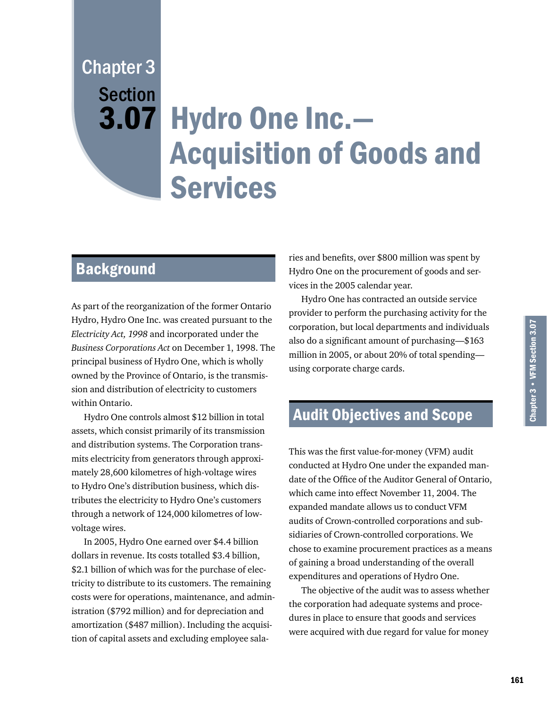# Hydro One Inc.— 3.07 Acquisition of Goods and Services Chapter 3 **Section**

# **Background**

As part of the reorganization of the former Ontario Hydro, Hydro One Inc. was created pursuant to the *Electricity Act, 1998* and incorporated under the *Business Corporations Act* on December 1, 1998. The principal business of Hydro One, which is wholly owned by the Province of Ontario, is the transmission and distribution of electricity to customers within Ontario.

Hydro One controls almost \$12 billion in total assets, which consist primarily of its transmission and distribution systems. The Corporation transmits electricity from generators through approximately 28,600 kilometres of high-voltage wires to Hydro One's distribution business, which distributes the electricity to Hydro One's customers through a network of 124,000 kilometres of lowvoltage wires.

In 2005, Hydro One earned over \$4.4 billion dollars in revenue. Its costs totalled \$3.4 billion, \$2.1 billion of which was for the purchase of electricity to distribute to its customers. The remaining costs were for operations, maintenance, and administration (\$792 million) and for depreciation and amortization (\$487 million). Including the acquisition of capital assets and excluding employee salaries and benefits, over \$800 million was spent by Hydro One on the procurement of goods and services in the 2005 calendar year.

Hydro One has contracted an outside service provider to perform the purchasing activity for the corporation, but local departments and individuals also do a significant amount of purchasing—\$163 million in 2005, or about 20% of total spending using corporate charge cards.

# Audit Objectives and Scope

This was the first value-for-money (VFM) audit conducted at Hydro One under the expanded mandate of the Office of the Auditor General of Ontario, which came into effect November 11, 2004. The expanded mandate allows us to conduct VFM audits of Crown-controlled corporations and subsidiaries of Crown-controlled corporations. We chose to examine procurement practices as a means of gaining a broad understanding of the overall expenditures and operations of Hydro One.

The objective of the audit was to assess whether the corporation had adequate systems and procedures in place to ensure that goods and services were acquired with due regard for value for money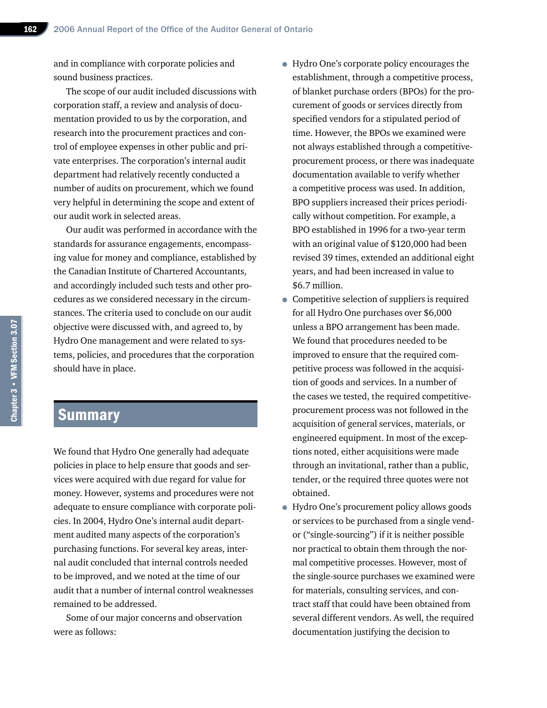and in compliance with corporate policies and sound business practices.

The scope of our audit included discussions with corporation staff, a review and analysis of documentation provided to us by the corporation, and research into the procurement practices and control of employee expenses in other public and private enterprises. The corporation's internal audit department had relatively recently conducted a number of audits on procurement, which we found very helpful in determining the scope and extent of our audit work in selected areas.

Our audit was performed in accordance with the standards for assurance engagements, encompassing value for money and compliance, established by the Canadian Institute of Chartered Accountants, and accordingly included such tests and other procedures as we considered necessary in the circumstances. The criteria used to conclude on our audit objective were discussed with, and agreed to, by Hydro One management and were related to systems, policies, and procedures that the corporation should have in place.

# Summary

We found that Hydro One generally had adequate policies in place to help ensure that goods and services were acquired with due regard for value for money. However, systems and procedures were not adequate to ensure compliance with corporate policies. In 2004, Hydro One's internal audit department audited many aspects of the corporation's purchasing functions. For several key areas, internal audit concluded that internal controls needed to be improved, and we noted at the time of our audit that a number of internal control weaknesses remained to be addressed.

Some of our major concerns and observation were as follows:

- Hydro One's corporate policy encourages the establishment, through a competitive process, of blanket purchase orders (BPOs) for the procurement of goods or services directly from specified vendors for a stipulated period of time. However, the BPOs we examined were not always established through a competitiveprocurement process, or there was inadequate documentation available to verify whether a competitive process was used. In addition, BPO suppliers increased their prices periodically without competition. For example, a BPO established in 1996 for a two-year term with an original value of \$120,000 had been revised 39 times, extended an additional eight years, and had been increased in value to \$6.7 million.
- Competitive selection of suppliers is required for all Hydro One purchases over \$6,000 unless a BPO arrangement has been made. We found that procedures needed to be improved to ensure that the required competitive process was followed in the acquisition of goods and services. In a number of the cases we tested, the required competitiveprocurement process was not followed in the acquisition of general services, materials, or engineered equipment. In most of the exceptions noted, either acquisitions were made through an invitational, rather than a public, tender, or the required three quotes were not obtained.
- Hydro One's procurement policy allows goods or services to be purchased from a single vendor ("single-sourcing") if it is neither possible nor practical to obtain them through the normal competitive processes. However, most of the single-source purchases we examined were for materials, consulting services, and contract staff that could have been obtained from several different vendors. As well, the required documentation justifying the decision to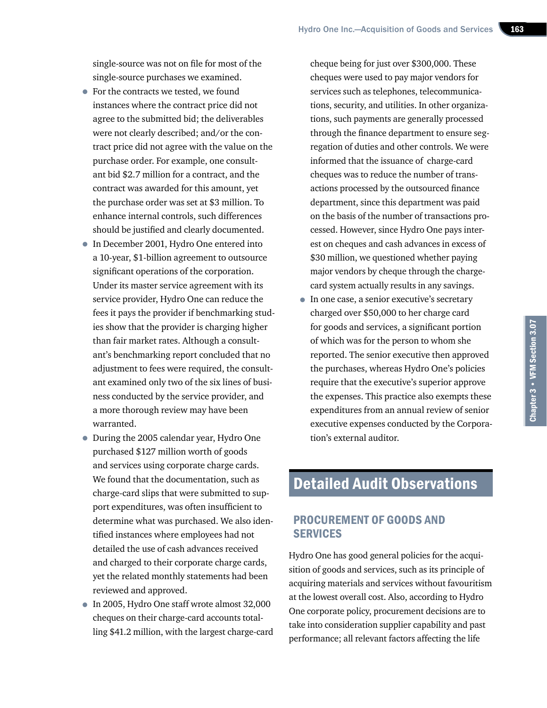single-source was not on file for most of the single-source purchases we examined.

- For the contracts we tested, we found instances where the contract price did not agree to the submitted bid; the deliverables were not clearly described; and/or the contract price did not agree with the value on the purchase order. For example, one consultant bid \$2.7 million for a contract, and the contract was awarded for this amount, yet the purchase order was set at \$3 million. To enhance internal controls, such differences should be justified and clearly documented.
- In December 2001, Hydro One entered into a 10-year, \$1-billion agreement to outsource significant operations of the corporation. Under its master service agreement with its service provider, Hydro One can reduce the fees it pays the provider if benchmarking studies show that the provider is charging higher than fair market rates. Although a consultant's benchmarking report concluded that no adjustment to fees were required, the consultant examined only two of the six lines of business conducted by the service provider, and a more thorough review may have been warranted.
- During the 2005 calendar year, Hydro One purchased \$127 million worth of goods and services using corporate charge cards. We found that the documentation, such as charge-card slips that were submitted to support expenditures, was often insufficient to determine what was purchased. We also identified instances where employees had not detailed the use of cash advances received and charged to their corporate charge cards, yet the related monthly statements had been reviewed and approved.
- In 2005, Hydro One staff wrote almost 32,000 cheques on their charge-card accounts totalling \$41.2 million, with the largest charge-card

cheque being for just over \$300,000. These cheques were used to pay major vendors for services such as telephones, telecommunications, security, and utilities. In other organizations, such payments are generally processed through the finance department to ensure segregation of duties and other controls. We were informed that the issuance of charge-card cheques was to reduce the number of transactions processed by the outsourced finance department, since this department was paid on the basis of the number of transactions processed. However, since Hydro One pays interest on cheques and cash advances in excess of \$30 million, we questioned whether paying major vendors by cheque through the chargecard system actually results in any savings.

• In one case, a senior executive's secretary charged over \$50,000 to her charge card for goods and services, a significant portion of which was for the person to whom she reported. The senior executive then approved the purchases, whereas Hydro One's policies require that the executive's superior approve the expenses. This practice also exempts these expenditures from an annual review of senior executive expenses conducted by the Corporation's external auditor.

# Detailed Audit Observations

## PROCUREMENT OF GOODS AND **SERVICES**

Hydro One has good general policies for the acquisition of goods and services, such as its principle of acquiring materials and services without favouritism at the lowest overall cost. Also, according to Hydro One corporate policy, procurement decisions are to take into consideration supplier capability and past performance; all relevant factors affecting the life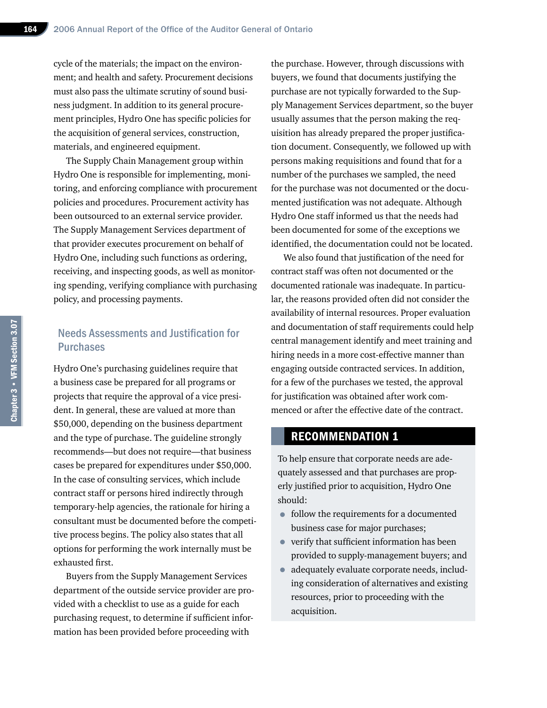cycle of the materials; the impact on the environment; and health and safety. Procurement decisions must also pass the ultimate scrutiny of sound business judgment. In addition to its general procurement principles, Hydro One has specific policies for the acquisition of general services, construction, materials, and engineered equipment.

The Supply Chain Management group within Hydro One is responsible for implementing, monitoring, and enforcing compliance with procurement policies and procedures. Procurement activity has been outsourced to an external service provider. The Supply Management Services department of that provider executes procurement on behalf of Hydro One, including such functions as ordering, receiving, and inspecting goods, as well as monitoring spending, verifying compliance with purchasing policy, and processing payments.

## Needs Assessments and Justification for **Purchases**

Hydro One's purchasing guidelines require that a business case be prepared for all programs or projects that require the approval of a vice president. In general, these are valued at more than \$50,000, depending on the business department and the type of purchase. The guideline strongly recommends—but does not require—that business cases be prepared for expenditures under \$50,000. In the case of consulting services, which include contract staff or persons hired indirectly through temporary-help agencies, the rationale for hiring a consultant must be documented before the competitive process begins. The policy also states that all options for performing the work internally must be exhausted first.

Buyers from the Supply Management Services department of the outside service provider are provided with a checklist to use as a guide for each purchasing request, to determine if sufficient information has been provided before proceeding with

the purchase. However, through discussions with buyers, we found that documents justifying the purchase are not typically forwarded to the Supply Management Services department, so the buyer usually assumes that the person making the requisition has already prepared the proper justification document. Consequently, we followed up with persons making requisitions and found that for a number of the purchases we sampled, the need for the purchase was not documented or the documented justification was not adequate. Although Hydro One staff informed us that the needs had been documented for some of the exceptions we identified, the documentation could not be located.

We also found that justification of the need for contract staff was often not documented or the documented rationale was inadequate. In particular, the reasons provided often did not consider the availability of internal resources. Proper evaluation and documentation of staff requirements could help central management identify and meet training and hiring needs in a more cost-effective manner than engaging outside contracted services. In addition, for a few of the purchases we tested, the approval for justification was obtained after work commenced or after the effective date of the contract.

# RECOMMENDATION 1

To help ensure that corporate needs are adequately assessed and that purchases are properly justified prior to acquisition, Hydro One should:

- follow the requirements for a documented business case for major purchases;
- verify that sufficient information has been provided to supply-management buyers; and
- adequately evaluate corporate needs, including consideration of alternatives and existing resources, prior to proceeding with the acquisition.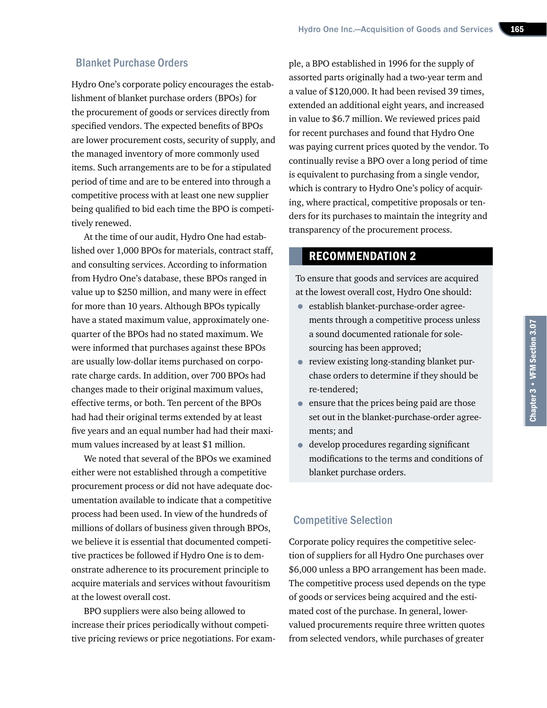## Blanket Purchase Orders

Hydro One's corporate policy encourages the establishment of blanket purchase orders (BPOs) for the procurement of goods or services directly from specified vendors. The expected benefits of BPOs are lower procurement costs, security of supply, and the managed inventory of more commonly used items. Such arrangements are to be for a stipulated period of time and are to be entered into through a competitive process with at least one new supplier being qualified to bid each time the BPO is competitively renewed.

At the time of our audit, Hydro One had established over 1,000 BPOs for materials, contract staff, and consulting services. According to information from Hydro One's database, these BPOs ranged in value up to \$250 million, and many were in effect for more than 10 years. Although BPOs typically have a stated maximum value, approximately onequarter of the BPOs had no stated maximum. We were informed that purchases against these BPOs are usually low-dollar items purchased on corporate charge cards. In addition, over 700 BPOs had changes made to their original maximum values, effective terms, or both. Ten percent of the BPOs had had their original terms extended by at least five years and an equal number had had their maximum values increased by at least \$1 million.

We noted that several of the BPOs we examined either were not established through a competitive procurement process or did not have adequate documentation available to indicate that a competitive process had been used. In view of the hundreds of millions of dollars of business given through BPOs, we believe it is essential that documented competitive practices be followed if Hydro One is to demonstrate adherence to its procurement principle to acquire materials and services without favouritism at the lowest overall cost.

BPO suppliers were also being allowed to increase their prices periodically without competitive pricing reviews or price negotiations. For example, a BPO established in 1996 for the supply of assorted parts originally had a two-year term and a value of \$120,000. It had been revised 39 times, extended an additional eight years, and increased in value to \$6.7 million. We reviewed prices paid for recent purchases and found that Hydro One was paying current prices quoted by the vendor. To continually revise a BPO over a long period of time is equivalent to purchasing from a single vendor, which is contrary to Hydro One's policy of acquiring, where practical, competitive proposals or tenders for its purchases to maintain the integrity and transparency of the procurement process.

#### RECOMMENDATION 2

To ensure that goods and services are acquired at the lowest overall cost, Hydro One should:

- establish blanket-purchase-order agreements through a competitive process unless a sound documented rationale for solesourcing has been approved;
- review existing long-standing blanket purchase orders to determine if they should be re-tendered;
- ensure that the prices being paid are those set out in the blanket-purchase-order agreements; and
- develop procedures regarding significant modifications to the terms and conditions of blanket purchase orders.

# Competitive Selection

Corporate policy requires the competitive selection of suppliers for all Hydro One purchases over \$6,000 unless a BPO arrangement has been made. The competitive process used depends on the type of goods or services being acquired and the estimated cost of the purchase. In general, lowervalued procurements require three written quotes from selected vendors, while purchases of greater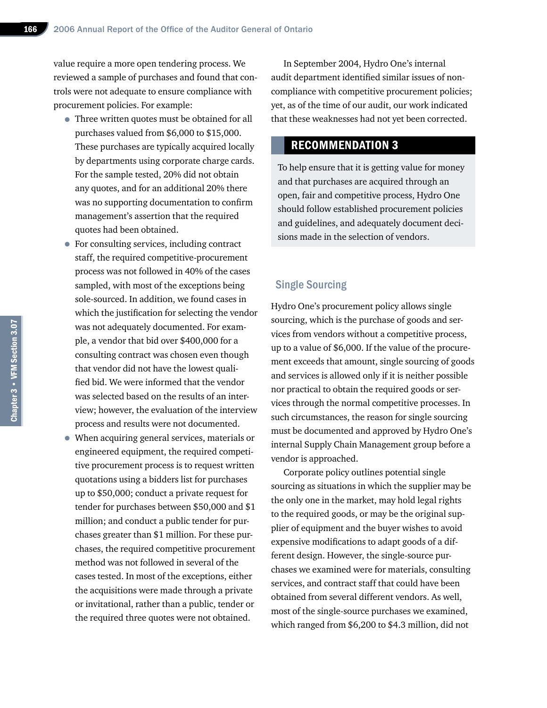value require a more open tendering process. We reviewed a sample of purchases and found that controls were not adequate to ensure compliance with procurement policies. For example:

- Three written quotes must be obtained for all purchases valued from \$6,000 to \$15,000. These purchases are typically acquired locally by departments using corporate charge cards. For the sample tested, 20% did not obtain any quotes, and for an additional 20% there was no supporting documentation to confirm management's assertion that the required quotes had been obtained.
- For consulting services, including contract staff, the required competitive-procurement process was not followed in 40% of the cases sampled, with most of the exceptions being sole-sourced. In addition, we found cases in which the justification for selecting the vendor was not adequately documented. For example, a vendor that bid over \$400,000 for a consulting contract was chosen even though that vendor did not have the lowest qualified bid. We were informed that the vendor was selected based on the results of an interview; however, the evaluation of the interview process and results were not documented.
- When acquiring general services, materials or engineered equipment, the required competitive procurement process is to request written quotations using a bidders list for purchases up to \$50,000; conduct a private request for tender for purchases between \$50,000 and \$1 million; and conduct a public tender for purchases greater than \$1 million. For these purchases, the required competitive procurement method was not followed in several of the cases tested. In most of the exceptions, either the acquisitions were made through a private or invitational, rather than a public, tender or the required three quotes were not obtained.

In September 2004, Hydro One's internal audit department identified similar issues of noncompliance with competitive procurement policies; yet, as of the time of our audit, our work indicated that these weaknesses had not yet been corrected.

## RECOMMENDATION 3

To help ensure that it is getting value for money and that purchases are acquired through an open, fair and competitive process, Hydro One should follow established procurement policies and guidelines, and adequately document decisions made in the selection of vendors.

#### Single Sourcing

Hydro One's procurement policy allows single sourcing, which is the purchase of goods and services from vendors without a competitive process, up to a value of \$6,000. If the value of the procurement exceeds that amount, single sourcing of goods and services is allowed only if it is neither possible nor practical to obtain the required goods or services through the normal competitive processes. In such circumstances, the reason for single sourcing must be documented and approved by Hydro One's internal Supply Chain Management group before a vendor is approached.

Corporate policy outlines potential single sourcing as situations in which the supplier may be the only one in the market, may hold legal rights to the required goods, or may be the original supplier of equipment and the buyer wishes to avoid expensive modifications to adapt goods of a different design. However, the single-source purchases we examined were for materials, consulting services, and contract staff that could have been obtained from several different vendors. As well, most of the single-source purchases we examined, which ranged from \$6,200 to \$4.3 million, did not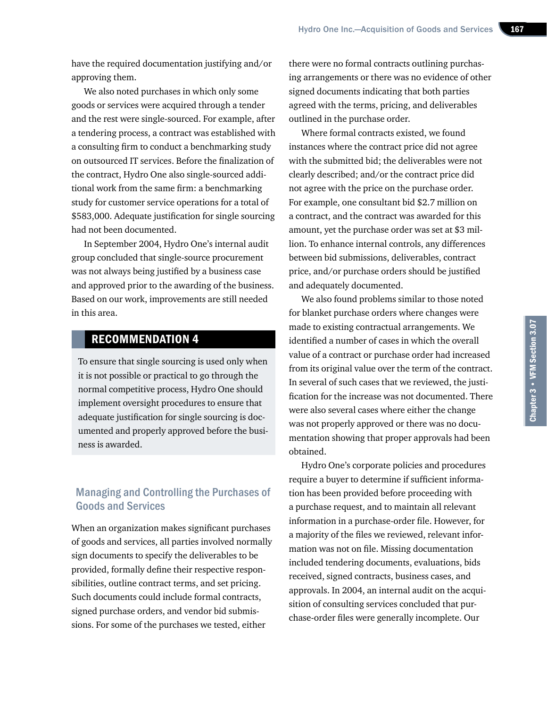have the required documentation justifying and/or approving them.

We also noted purchases in which only some goods or services were acquired through a tender and the rest were single-sourced. For example, after a tendering process, a contract was established with a consulting firm to conduct a benchmarking study on outsourced IT services. Before the finalization of the contract, Hydro One also single-sourced additional work from the same firm: a benchmarking study for customer service operations for a total of \$583,000. Adequate justification for single sourcing had not been documented.

In September 2004, Hydro One's internal audit group concluded that single-source procurement was not always being justified by a business case and approved prior to the awarding of the business. Based on our work, improvements are still needed in this area.

# RECOMMENDATION 4

To ensure that single sourcing is used only when it is not possible or practical to go through the normal competitive process, Hydro One should implement oversight procedures to ensure that adequate justification for single sourcing is documented and properly approved before the business is awarded.

# Managing and Controlling the Purchases of Goods and Services

When an organization makes significant purchases of goods and services, all parties involved normally sign documents to specify the deliverables to be provided, formally define their respective responsibilities, outline contract terms, and set pricing. Such documents could include formal contracts, signed purchase orders, and vendor bid submissions. For some of the purchases we tested, either

there were no formal contracts outlining purchasing arrangements or there was no evidence of other signed documents indicating that both parties agreed with the terms, pricing, and deliverables outlined in the purchase order.

Where formal contracts existed, we found instances where the contract price did not agree with the submitted bid; the deliverables were not clearly described; and/or the contract price did not agree with the price on the purchase order. For example, one consultant bid \$2.7 million on a contract, and the contract was awarded for this amount, yet the purchase order was set at \$3 million. To enhance internal controls, any differences between bid submissions, deliverables, contract price, and/or purchase orders should be justified and adequately documented.

We also found problems similar to those noted for blanket purchase orders where changes were made to existing contractual arrangements. We identified a number of cases in which the overall value of a contract or purchase order had increased from its original value over the term of the contract. In several of such cases that we reviewed, the justification for the increase was not documented. There were also several cases where either the change was not properly approved or there was no documentation showing that proper approvals had been obtained.

Hydro One's corporate policies and procedures require a buyer to determine if sufficient information has been provided before proceeding with a purchase request, and to maintain all relevant information in a purchase-order file. However, for a majority of the files we reviewed, relevant information was not on file. Missing documentation included tendering documents, evaluations, bids received, signed contracts, business cases, and approvals. In 2004, an internal audit on the acquisition of consulting services concluded that purchase-order files were generally incomplete. Our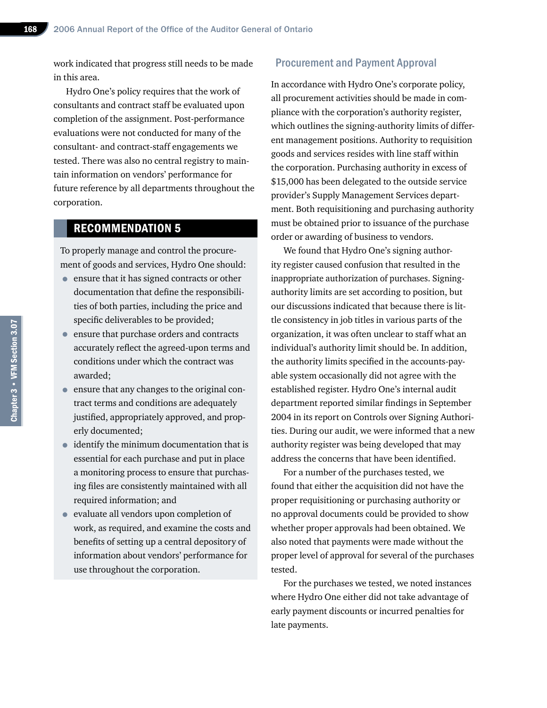work indicated that progress still needs to be made in this area.

Hydro One's policy requires that the work of consultants and contract staff be evaluated upon completion of the assignment. Post-performance evaluations were not conducted for many of the consultant- and contract-staff engagements we tested. There was also no central registry to maintain information on vendors' performance for future reference by all departments throughout the corporation.

# RECOMMENDATION 5

To properly manage and control the procurement of goods and services, Hydro One should:

- ensure that it has signed contracts or other documentation that define the responsibilities of both parties, including the price and specific deliverables to be provided;
- ensure that purchase orders and contracts accurately reflect the agreed-upon terms and conditions under which the contract was awarded;
- ensure that any changes to the original contract terms and conditions are adequately justified, appropriately approved, and properly documented;
- identify the minimum documentation that is essential for each purchase and put in place a monitoring process to ensure that purchasing files are consistently maintained with all required information; and
- evaluate all vendors upon completion of work, as required, and examine the costs and benefits of setting up a central depository of information about vendors' performance for use throughout the corporation.

#### Procurement and Payment Approval

In accordance with Hydro One's corporate policy, all procurement activities should be made in compliance with the corporation's authority register, which outlines the signing-authority limits of different management positions. Authority to requisition goods and services resides with line staff within the corporation. Purchasing authority in excess of \$15,000 has been delegated to the outside service provider's Supply Management Services department. Both requisitioning and purchasing authority must be obtained prior to issuance of the purchase order or awarding of business to vendors.

We found that Hydro One's signing authority register caused confusion that resulted in the inappropriate authorization of purchases. Signingauthority limits are set according to position, but our discussions indicated that because there is little consistency in job titles in various parts of the organization, it was often unclear to staff what an individual's authority limit should be. In addition, the authority limits specified in the accounts-payable system occasionally did not agree with the established register. Hydro One's internal audit department reported similar findings in September 2004 in its report on Controls over Signing Authorities. During our audit, we were informed that a new authority register was being developed that may address the concerns that have been identified.

For a number of the purchases tested, we found that either the acquisition did not have the proper requisitioning or purchasing authority or no approval documents could be provided to show whether proper approvals had been obtained. We also noted that payments were made without the proper level of approval for several of the purchases tested.

For the purchases we tested, we noted instances where Hydro One either did not take advantage of early payment discounts or incurred penalties for late payments.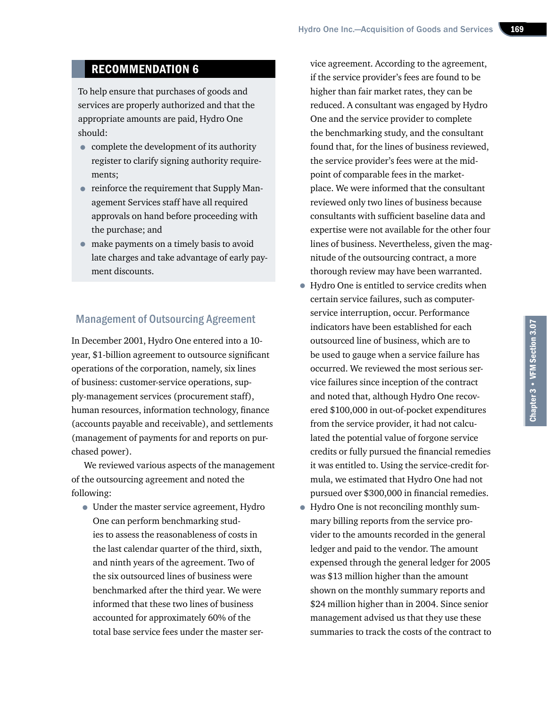# RECOMMENDATION 6

To help ensure that purchases of goods and services are properly authorized and that the appropriate amounts are paid, Hydro One should:

- complete the development of its authority register to clarify signing authority requirements;
- reinforce the requirement that Supply Management Services staff have all required approvals on hand before proceeding with the purchase; and
- make payments on a timely basis to avoid late charges and take advantage of early payment discounts.

#### Management of Outsourcing Agreement

In December 2001, Hydro One entered into a 10 year, \$1-billion agreement to outsource significant operations of the corporation, namely, six lines of business: customer-service operations, supply-management services (procurement staff), human resources, information technology, finance (accounts payable and receivable), and settlements (management of payments for and reports on purchased power).

We reviewed various aspects of the management of the outsourcing agreement and noted the following:

• Under the master service agreement, Hydro One can perform benchmarking studies to assess the reasonableness of costs in the last calendar quarter of the third, sixth, and ninth years of the agreement. Two of the six outsourced lines of business were benchmarked after the third year. We were informed that these two lines of business accounted for approximately 60% of the total base service fees under the master service agreement. According to the agreement, if the service provider's fees are found to be higher than fair market rates, they can be reduced. A consultant was engaged by Hydro One and the service provider to complete the benchmarking study, and the consultant found that, for the lines of business reviewed, the service provider's fees were at the midpoint of comparable fees in the marketplace. We were informed that the consultant reviewed only two lines of business because consultants with sufficient baseline data and expertise were not available for the other four lines of business. Nevertheless, given the magnitude of the outsourcing contract, a more thorough review may have been warranted.

- Hydro One is entitled to service credits when certain service failures, such as computerservice interruption, occur. Performance indicators have been established for each outsourced line of business, which are to be used to gauge when a service failure has occurred. We reviewed the most serious service failures since inception of the contract and noted that, although Hydro One recovered \$100,000 in out-of-pocket expenditures from the service provider, it had not calculated the potential value of forgone service credits or fully pursued the financial remedies it was entitled to. Using the service-credit formula, we estimated that Hydro One had not pursued over \$300,000 in financial remedies.
- Hydro One is not reconciling monthly summary billing reports from the service provider to the amounts recorded in the general ledger and paid to the vendor. The amount expensed through the general ledger for 2005 was \$13 million higher than the amount shown on the monthly summary reports and \$24 million higher than in 2004. Since senior management advised us that they use these summaries to track the costs of the contract to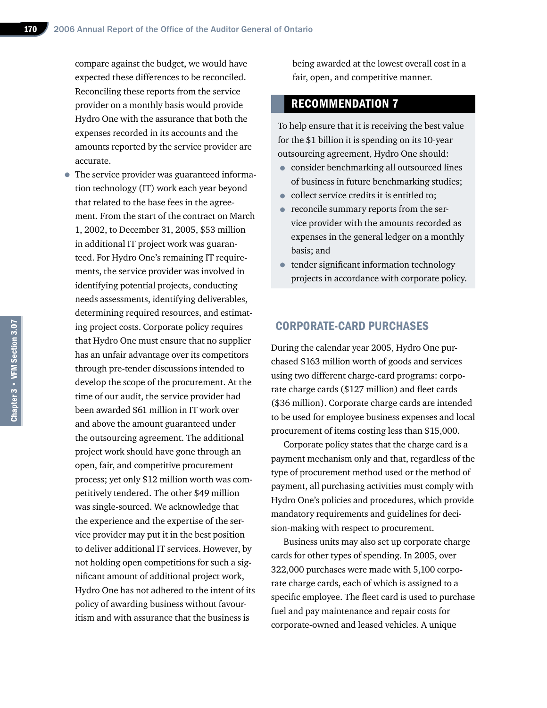compare against the budget, we would have expected these differences to be reconciled. Reconciling these reports from the service provider on a monthly basis would provide Hydro One with the assurance that both the expenses recorded in its accounts and the amounts reported by the service provider are accurate.

• The service provider was guaranteed information technology (IT) work each year beyond that related to the base fees in the agreement. From the start of the contract on March 1, 2002, to December 31, 2005, \$53 million in additional IT project work was guaranteed. For Hydro One's remaining IT requirements, the service provider was involved in identifying potential projects, conducting needs assessments, identifying deliverables, determining required resources, and estimating project costs. Corporate policy requires that Hydro One must ensure that no supplier has an unfair advantage over its competitors through pre-tender discussions intended to develop the scope of the procurement. At the time of our audit, the service provider had been awarded \$61 million in IT work over and above the amount guaranteed under the outsourcing agreement. The additional project work should have gone through an open, fair, and competitive procurement process; yet only \$12 million worth was competitively tendered. The other \$49 million was single-sourced. We acknowledge that the experience and the expertise of the service provider may put it in the best position to deliver additional IT services. However, by not holding open competitions for such a significant amount of additional project work, Hydro One has not adhered to the intent of its policy of awarding business without favouritism and with assurance that the business is

being awarded at the lowest overall cost in a fair, open, and competitive manner.

#### RECOMMENDATION 7

To help ensure that it is receiving the best value for the \$1 billion it is spending on its 10-year outsourcing agreement, Hydro One should:

- consider benchmarking all outsourced lines of business in future benchmarking studies;
- collect service credits it is entitled to;
- reconcile summary reports from the service provider with the amounts recorded as expenses in the general ledger on a monthly basis; and
- tender significant information technology projects in accordance with corporate policy.

#### CORPORATE-CARD PURCHASES

During the calendar year 2005, Hydro One purchased \$163 million worth of goods and services using two different charge-card programs: corporate charge cards (\$127 million) and fleet cards (\$36 million). Corporate charge cards are intended to be used for employee business expenses and local procurement of items costing less than \$15,000.

Corporate policy states that the charge card is a payment mechanism only and that, regardless of the type of procurement method used or the method of payment, all purchasing activities must comply with Hydro One's policies and procedures, which provide mandatory requirements and guidelines for decision-making with respect to procurement.

Business units may also set up corporate charge cards for other types of spending. In 2005, over 322,000 purchases were made with 5,100 corporate charge cards, each of which is assigned to a specific employee. The fleet card is used to purchase fuel and pay maintenance and repair costs for corporate-owned and leased vehicles. A unique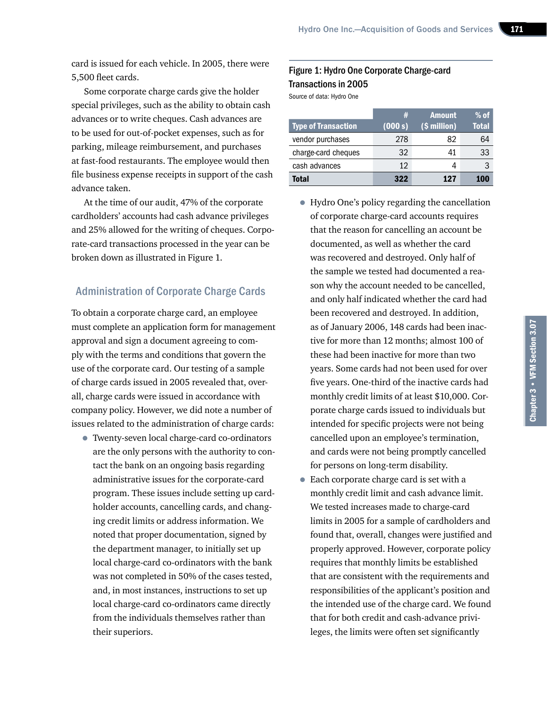card is issued for each vehicle. In 2005, there were 5,500 fleet cards.

Some corporate charge cards give the holder special privileges, such as the ability to obtain cash advances or to write cheques. Cash advances are to be used for out-of-pocket expenses, such as for parking, mileage reimbursement, and purchases at fast-food restaurants. The employee would then file business expense receipts in support of the cash advance taken.

At the time of our audit, 47% of the corporate cardholders' accounts had cash advance privileges and 25% allowed for the writing of cheques. Corporate-card transactions processed in the year can be broken down as illustrated in Figure 1.

## Administration of Corporate Charge Cards

To obtain a corporate charge card, an employee must complete an application form for management approval and sign a document agreeing to comply with the terms and conditions that govern the use of the corporate card. Our testing of a sample of charge cards issued in 2005 revealed that, overall, charge cards were issued in accordance with company policy. However, we did note a number of issues related to the administration of charge cards:

• Twenty-seven local charge-card co-ordinators are the only persons with the authority to contact the bank on an ongoing basis regarding administrative issues for the corporate-card program. These issues include setting up cardholder accounts, cancelling cards, and changing credit limits or address information. We noted that proper documentation, signed by the department manager, to initially set up local charge-card co-ordinators with the bank was not completed in 50% of the cases tested, and, in most instances, instructions to set up local charge-card co-ordinators came directly from the individuals themselves rather than their superiors.

# Figure 1: Hydro One Corporate Charge-card Transactions in 2005

Source of data: Hydro One

|                            | #       | <b>Amount</b> | $%$ of |
|----------------------------|---------|---------------|--------|
| <b>Type of Transaction</b> | (000 s) | (\$ million)  | Total  |
| vendor purchases           | 278     | 82            | 64     |
| charge-card cheques        | 32      | 41            | 33     |
| cash advances              | 12      |               |        |
| <b>Total</b>               | 322     | 127           | 100    |

- Hydro One's policy regarding the cancellation of corporate charge-card accounts requires that the reason for cancelling an account be documented, as well as whether the card was recovered and destroyed. Only half of the sample we tested had documented a reason why the account needed to be cancelled, and only half indicated whether the card had been recovered and destroyed. In addition, as of January 2006, 148 cards had been inactive for more than 12 months; almost 100 of these had been inactive for more than two years. Some cards had not been used for over five years. One-third of the inactive cards had monthly credit limits of at least \$10,000. Corporate charge cards issued to individuals but intended for specific projects were not being cancelled upon an employee's termination, and cards were not being promptly cancelled for persons on long-term disability.
- Each corporate charge card is set with a monthly credit limit and cash advance limit. We tested increases made to charge-card limits in 2005 for a sample of cardholders and found that, overall, changes were justified and properly approved. However, corporate policy requires that monthly limits be established that are consistent with the requirements and responsibilities of the applicant's position and the intended use of the charge card. We found that for both credit and cash-advance privileges, the limits were often set significantly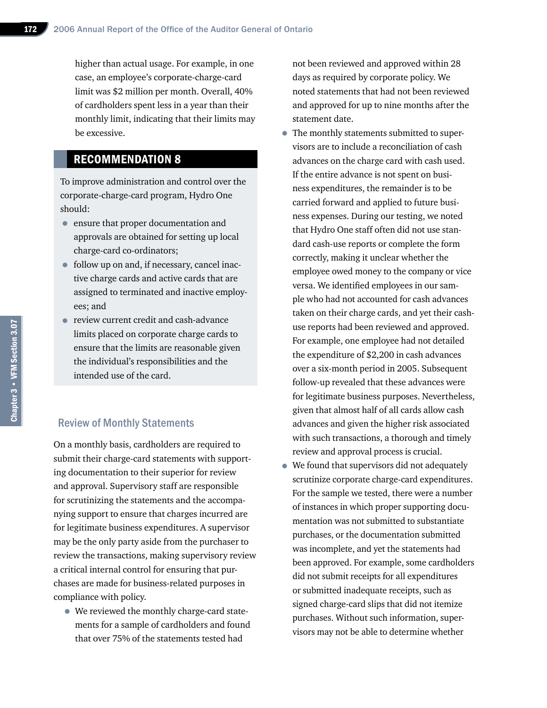higher than actual usage. For example, in one case, an employee's corporate-charge-card limit was \$2 million per month. Overall, 40% of cardholders spent less in a year than their monthly limit, indicating that their limits may be excessive.

# RECOMMENDATION 8

To improve administration and control over the corporate-charge-card program, Hydro One should:

- ensure that proper documentation and approvals are obtained for setting up local charge-card co-ordinators;
- follow up on and, if necessary, cancel inactive charge cards and active cards that are assigned to terminated and inactive employees; and
- review current credit and cash-advance limits placed on corporate charge cards to ensure that the limits are reasonable given the individual's responsibilities and the intended use of the card.

#### Review of Monthly Statements

On a monthly basis, cardholders are required to submit their charge-card statements with supporting documentation to their superior for review and approval. Supervisory staff are responsible for scrutinizing the statements and the accompanying support to ensure that charges incurred are for legitimate business expenditures. A supervisor may be the only party aside from the purchaser to review the transactions, making supervisory review a critical internal control for ensuring that purchases are made for business-related purposes in compliance with policy.

• We reviewed the monthly charge-card statements for a sample of cardholders and found that over 75% of the statements tested had

not been reviewed and approved within 28 days as required by corporate policy. We noted statements that had not been reviewed and approved for up to nine months after the statement date.

- The monthly statements submitted to supervisors are to include a reconciliation of cash advances on the charge card with cash used. If the entire advance is not spent on business expenditures, the remainder is to be carried forward and applied to future business expenses. During our testing, we noted that Hydro One staff often did not use standard cash-use reports or complete the form correctly, making it unclear whether the employee owed money to the company or vice versa. We identified employees in our sample who had not accounted for cash advances taken on their charge cards, and yet their cashuse reports had been reviewed and approved. For example, one employee had not detailed the expenditure of \$2,200 in cash advances over a six-month period in 2005. Subsequent follow-up revealed that these advances were for legitimate business purposes. Nevertheless, given that almost half of all cards allow cash advances and given the higher risk associated with such transactions, a thorough and timely review and approval process is crucial.
- We found that supervisors did not adequately scrutinize corporate charge-card expenditures. For the sample we tested, there were a number of instances in which proper supporting documentation was not submitted to substantiate purchases, or the documentation submitted was incomplete, and yet the statements had been approved. For example, some cardholders did not submit receipts for all expenditures or submitted inadequate receipts, such as signed charge-card slips that did not itemize purchases. Without such information, supervisors may not be able to determine whether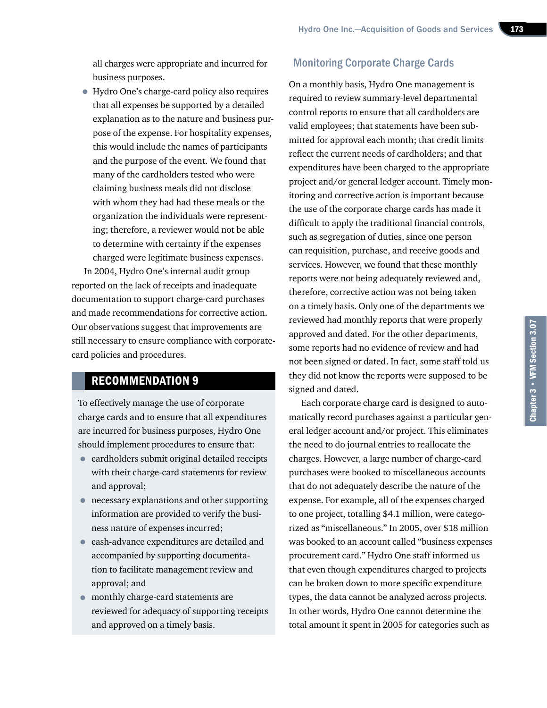all charges were appropriate and incurred for business purposes.

• Hydro One's charge-card policy also requires that all expenses be supported by a detailed explanation as to the nature and business purpose of the expense. For hospitality expenses, this would include the names of participants and the purpose of the event. We found that many of the cardholders tested who were claiming business meals did not disclose with whom they had had these meals or the organization the individuals were representing; therefore, a reviewer would not be able to determine with certainty if the expenses charged were legitimate business expenses.

In 2004, Hydro One's internal audit group reported on the lack of receipts and inadequate documentation to support charge-card purchases and made recommendations for corrective action. Our observations suggest that improvements are still necessary to ensure compliance with corporatecard policies and procedures.

# RECOMMENDATION 9

To effectively manage the use of corporate charge cards and to ensure that all expenditures are incurred for business purposes, Hydro One should implement procedures to ensure that:

- cardholders submit original detailed receipts with their charge-card statements for review and approval;
- necessary explanations and other supporting information are provided to verify the business nature of expenses incurred;
- cash-advance expenditures are detailed and accompanied by supporting documentation to facilitate management review and approval; and
- monthly charge-card statements are reviewed for adequacy of supporting receipts and approved on a timely basis.

## Monitoring Corporate Charge Cards

On a monthly basis, Hydro One management is required to review summary-level departmental control reports to ensure that all cardholders are valid employees; that statements have been submitted for approval each month; that credit limits reflect the current needs of cardholders; and that expenditures have been charged to the appropriate project and/or general ledger account. Timely monitoring and corrective action is important because the use of the corporate charge cards has made it difficult to apply the traditional financial controls, such as segregation of duties, since one person can requisition, purchase, and receive goods and services. However, we found that these monthly reports were not being adequately reviewed and, therefore, corrective action was not being taken on a timely basis. Only one of the departments we reviewed had monthly reports that were properly approved and dated. For the other departments, some reports had no evidence of review and had not been signed or dated. In fact, some staff told us they did not know the reports were supposed to be signed and dated.

Each corporate charge card is designed to automatically record purchases against a particular general ledger account and/or project. This eliminates the need to do journal entries to reallocate the charges. However, a large number of charge-card purchases were booked to miscellaneous accounts that do not adequately describe the nature of the expense. For example, all of the expenses charged to one project, totalling \$4.1 million, were categorized as "miscellaneous." In 2005, over \$18 million was booked to an account called "business expenses procurement card." Hydro One staff informed us that even though expenditures charged to projects can be broken down to more specific expenditure types, the data cannot be analyzed across projects. In other words, Hydro One cannot determine the total amount it spent in 2005 for categories such as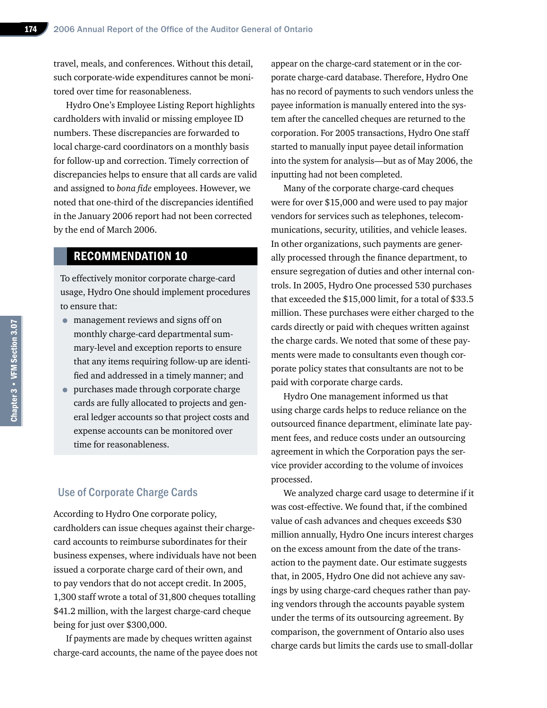travel, meals, and conferences. Without this detail, such corporate-wide expenditures cannot be monitored over time for reasonableness.

Hydro One's Employee Listing Report highlights cardholders with invalid or missing employee ID numbers. These discrepancies are forwarded to local charge-card coordinators on a monthly basis for follow-up and correction. Timely correction of discrepancies helps to ensure that all cards are valid and assigned to *bona fide* employees. However, we noted that one-third of the discrepancies identified in the January 2006 report had not been corrected by the end of March 2006.

# RECOMMENDATION 10

To effectively monitor corporate charge-card usage, Hydro One should implement procedures to ensure that:

- management reviews and signs off on monthly charge-card departmental summary-level and exception reports to ensure that any items requiring follow-up are identified and addressed in a timely manner; and
- purchases made through corporate charge cards are fully allocated to projects and general ledger accounts so that project costs and expense accounts can be monitored over time for reasonableness.

#### Use of Corporate Charge Cards

According to Hydro One corporate policy, cardholders can issue cheques against their chargecard accounts to reimburse subordinates for their business expenses, where individuals have not been issued a corporate charge card of their own, and to pay vendors that do not accept credit. In 2005, 1,300 staff wrote a total of 31,800 cheques totalling \$41.2 million, with the largest charge-card cheque being for just over \$300,000.

If payments are made by cheques written against charge-card accounts, the name of the payee does not appear on the charge-card statement or in the corporate charge-card database. Therefore, Hydro One has no record of payments to such vendors unless the payee information is manually entered into the system after the cancelled cheques are returned to the corporation. For 2005 transactions, Hydro One staff started to manually input payee detail information into the system for analysis—but as of May 2006, the inputting had not been completed.

Many of the corporate charge-card cheques were for over \$15,000 and were used to pay major vendors for services such as telephones, telecommunications, security, utilities, and vehicle leases. In other organizations, such payments are generally processed through the finance department, to ensure segregation of duties and other internal controls. In 2005, Hydro One processed 530 purchases that exceeded the \$15,000 limit, for a total of \$33.5 million. These purchases were either charged to the cards directly or paid with cheques written against the charge cards. We noted that some of these payments were made to consultants even though corporate policy states that consultants are not to be paid with corporate charge cards.

Hydro One management informed us that using charge cards helps to reduce reliance on the outsourced finance department, eliminate late payment fees, and reduce costs under an outsourcing agreement in which the Corporation pays the service provider according to the volume of invoices processed.

We analyzed charge card usage to determine if it was cost-effective. We found that, if the combined value of cash advances and cheques exceeds \$30 million annually, Hydro One incurs interest charges on the excess amount from the date of the transaction to the payment date. Our estimate suggests that, in 2005, Hydro One did not achieve any savings by using charge-card cheques rather than paying vendors through the accounts payable system under the terms of its outsourcing agreement. By comparison, the government of Ontario also uses charge cards but limits the cards use to small-dollar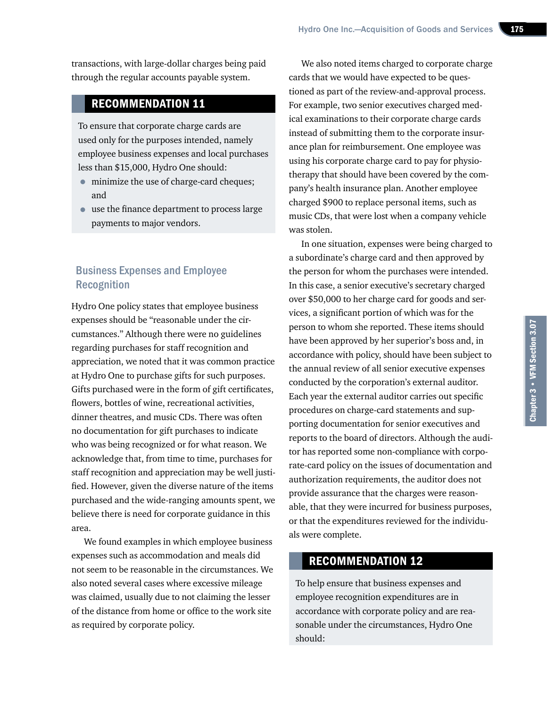transactions, with large-dollar charges being paid through the regular accounts payable system.

# RECOMMENDATION 11

To ensure that corporate charge cards are used only for the purposes intended, namely employee business expenses and local purchases less than \$15,000, Hydro One should:

- minimize the use of charge-card cheques; and
- use the finance department to process large payments to major vendors.

# Business Expenses and Employee Recognition

Hydro One policy states that employee business expenses should be "reasonable under the circumstances." Although there were no guidelines regarding purchases for staff recognition and appreciation, we noted that it was common practice at Hydro One to purchase gifts for such purposes. Gifts purchased were in the form of gift certificates, flowers, bottles of wine, recreational activities, dinner theatres, and music CDs. There was often no documentation for gift purchases to indicate who was being recognized or for what reason. We acknowledge that, from time to time, purchases for staff recognition and appreciation may be well justified. However, given the diverse nature of the items purchased and the wide-ranging amounts spent, we believe there is need for corporate guidance in this area.

We found examples in which employee business expenses such as accommodation and meals did not seem to be reasonable in the circumstances. We also noted several cases where excessive mileage was claimed, usually due to not claiming the lesser of the distance from home or office to the work site as required by corporate policy.

We also noted items charged to corporate charge cards that we would have expected to be questioned as part of the review-and-approval process. For example, two senior executives charged medical examinations to their corporate charge cards instead of submitting them to the corporate insurance plan for reimbursement. One employee was using his corporate charge card to pay for physiotherapy that should have been covered by the company's health insurance plan. Another employee charged \$900 to replace personal items, such as music CDs, that were lost when a company vehicle was stolen.

In one situation, expenses were being charged to a subordinate's charge card and then approved by the person for whom the purchases were intended. In this case, a senior executive's secretary charged over \$50,000 to her charge card for goods and services, a significant portion of which was for the person to whom she reported. These items should have been approved by her superior's boss and, in accordance with policy, should have been subject to the annual review of all senior executive expenses conducted by the corporation's external auditor. Each year the external auditor carries out specific procedures on charge-card statements and supporting documentation for senior executives and reports to the board of directors. Although the auditor has reported some non-compliance with corporate-card policy on the issues of documentation and authorization requirements, the auditor does not provide assurance that the charges were reasonable, that they were incurred for business purposes, or that the expenditures reviewed for the individuals were complete.

# RECOMMENDATION 12

To help ensure that business expenses and employee recognition expenditures are in accordance with corporate policy and are reasonable under the circumstances, Hydro One should: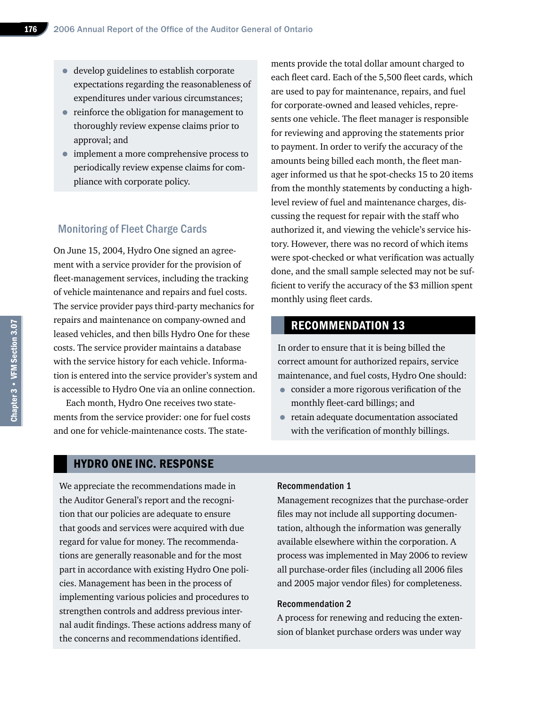- develop guidelines to establish corporate expectations regarding the reasonableness of expenditures under various circumstances;
- reinforce the obligation for management to thoroughly review expense claims prior to approval; and
- implement a more comprehensive process to periodically review expense claims for compliance with corporate policy.

#### Monitoring of Fleet Charge Cards

On June 15, 2004, Hydro One signed an agreement with a service provider for the provision of fleet-management services, including the tracking of vehicle maintenance and repairs and fuel costs. The service provider pays third-party mechanics for repairs and maintenance on company-owned and leased vehicles, and then bills Hydro One for these costs. The service provider maintains a database with the service history for each vehicle. Information is entered into the service provider's system and is accessible to Hydro One via an online connection.

Each month, Hydro One receives two statements from the service provider: one for fuel costs and one for vehicle-maintenance costs. The statements provide the total dollar amount charged to each fleet card. Each of the 5,500 fleet cards, which are used to pay for maintenance, repairs, and fuel for corporate-owned and leased vehicles, represents one vehicle. The fleet manager is responsible for reviewing and approving the statements prior to payment. In order to verify the accuracy of the amounts being billed each month, the fleet manager informed us that he spot-checks 15 to 20 items from the monthly statements by conducting a highlevel review of fuel and maintenance charges, discussing the request for repair with the staff who authorized it, and viewing the vehicle's service history. However, there was no record of which items were spot-checked or what verification was actually done, and the small sample selected may not be sufficient to verify the accuracy of the \$3 million spent monthly using fleet cards.

# RECOMMENDATION 13

In order to ensure that it is being billed the correct amount for authorized repairs, service maintenance, and fuel costs, Hydro One should:

- consider a more rigorous verification of the monthly fleet-card billings; and
- retain adequate documentation associated with the verification of monthly billings.

#### HYDRO ONE INC. RESPONSE

We appreciate the recommendations made in the Auditor General's report and the recognition that our policies are adequate to ensure that goods and services were acquired with due regard for value for money. The recommendations are generally reasonable and for the most part in accordance with existing Hydro One policies. Management has been in the process of implementing various policies and procedures to strengthen controls and address previous internal audit findings. These actions address many of the concerns and recommendations identified.

#### Recommendation 1

Management recognizes that the purchase-order files may not include all supporting documentation, although the information was generally available elsewhere within the corporation. A process was implemented in May 2006 to review all purchase-order files (including all 2006 files and 2005 major vendor files) for completeness.

#### Recommendation 2

A process for renewing and reducing the extension of blanket purchase orders was under way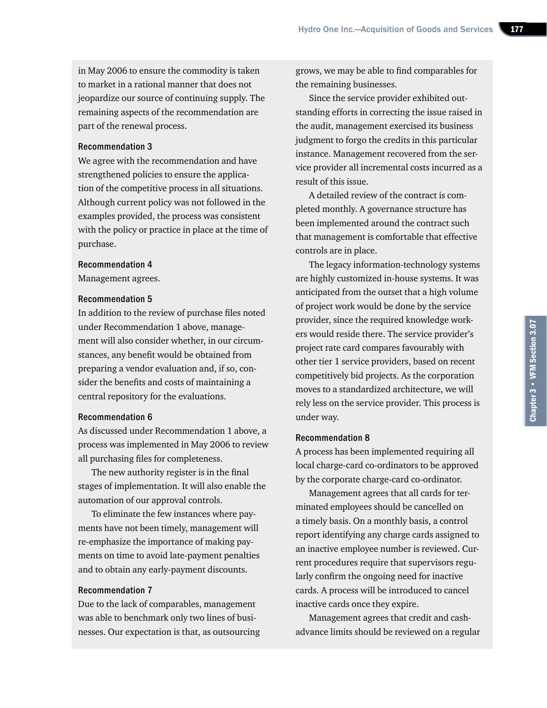in May 2006 to ensure the commodity is taken to market in a rational manner that does not jeopardize our source of continuing supply. The remaining aspects of the recommendation are part of the renewal process.

#### Recommendation 3

We agree with the recommendation and have strengthened policies to ensure the application of the competitive process in all situations. Although current policy was not followed in the examples provided, the process was consistent with the policy or practice in place at the time of purchase.

#### Recommendation 4

Management agrees.

#### Recommendation 5

In addition to the review of purchase files noted under Recommendation 1 above, management will also consider whether, in our circumstances, any benefit would be obtained from preparing a vendor evaluation and, if so, consider the benefits and costs of maintaining a central repository for the evaluations.

#### Recommendation 6

As discussed under Recommendation 1 above, a process was implemented in May 2006 to review all purchasing files for completeness.

The new authority register is in the final stages of implementation. It will also enable the automation of our approval controls.

To eliminate the few instances where payments have not been timely, management will re-emphasize the importance of making payments on time to avoid late-payment penalties and to obtain any early-payment discounts.

#### Recommendation 7

Due to the lack of comparables, management was able to benchmark only two lines of businesses. Our expectation is that, as outsourcing grows, we may be able to find comparables for the remaining businesses.

Since the service provider exhibited outstanding efforts in correcting the issue raised in the audit, management exercised its business judgment to forgo the credits in this particular instance. Management recovered from the service provider all incremental costs incurred as a result of this issue.

A detailed review of the contract is completed monthly. A governance structure has been implemented around the contract such that management is comfortable that effective controls are in place.

The legacy information-technology systems are highly customized in-house systems. It was anticipated from the outset that a high volume of project work would be done by the service provider, since the required knowledge workers would reside there. The service provider's project rate card compares favourably with other tier 1 service providers, based on recent competitively bid projects. As the corporation moves to a standardized architecture, we will rely less on the service provider. This process is under way.

#### Recommendation 8

A process has been implemented requiring all local charge-card co-ordinators to be approved by the corporate charge-card co-ordinator.

Management agrees that all cards for terminated employees should be cancelled on a timely basis. On a monthly basis, a control report identifying any charge cards assigned to an inactive employee number is reviewed. Current procedures require that supervisors regularly confirm the ongoing need for inactive cards. A process will be introduced to cancel inactive cards once they expire.

Management agrees that credit and cashadvance limits should be reviewed on a regular